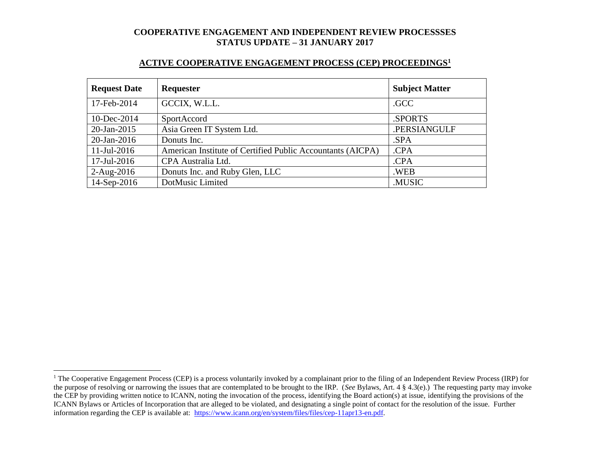#### **ACTIVE COOPERATIVE ENGAGEMENT PROCESS (CEP) PROCEEDINGS<sup>1</sup>**

| <b>Request Date</b> | <b>Requester</b>                                           | <b>Subject Matter</b> |
|---------------------|------------------------------------------------------------|-----------------------|
| 17-Feb-2014         | GCCIX, W.L.L.                                              | .GCC                  |
| 10-Dec-2014         | SportAccord                                                | .SPORTS               |
| $20$ -Jan-2015      | Asia Green IT System Ltd.                                  | .PERSIANGULF          |
| $20$ -Jan-2016      | Donuts Inc.                                                | .SPA                  |
| $11$ -Jul-2016      | American Institute of Certified Public Accountants (AICPA) | .CPA                  |
| 17-Jul-2016         | CPA Australia Ltd.                                         | .CPA                  |
| $2-Aug-2016$        | Donuts Inc. and Ruby Glen, LLC                             | .WEB                  |
| 14-Sep-2016         | DotMusic Limited                                           | .MUSIC                |

l

<sup>&</sup>lt;sup>1</sup> The Cooperative Engagement Process (CEP) is a process voluntarily invoked by a complainant prior to the filing of an Independent Review Process (IRP) for the purpose of resolving or narrowing the issues that are contemplated to be brought to the IRP. (*See* Bylaws, Art. 4 § 4.3(e).) The requesting party may invoke the CEP by providing written notice to ICANN, noting the invocation of the process, identifying the Board action(s) at issue, identifying the provisions of the ICANN Bylaws or Articles of Incorporation that are alleged to be violated, and designating a single point of contact for the resolution of the issue. Further information regarding the CEP is available at: [https://www.icann.org/en/system/files/files/cep-11apr13-en.pdf.](https://www.icann.org/en/system/files/files/cep-11apr13-en.pdf)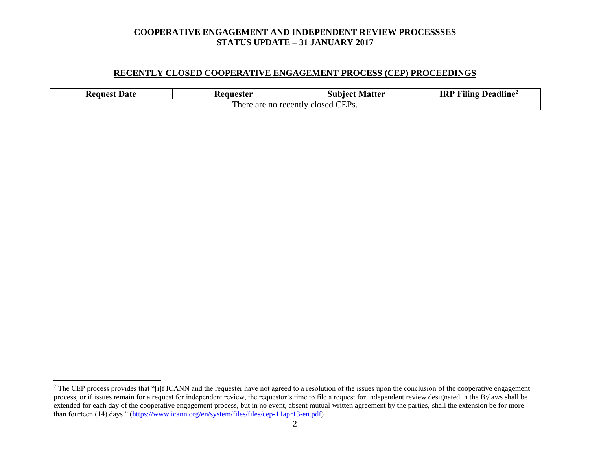#### **RECENTLY CLOSED COOPERATIVE ENGAGEMENT PROCESS (CEP) PROCEEDINGS**

| Date<br><b>Request</b>                                   | Matter<br>Ceanester<br>Subiect |  | Deadline <sup>2</sup><br><b>IRP</b><br>$\blacksquare$<br>Filing |  |  |
|----------------------------------------------------------|--------------------------------|--|-----------------------------------------------------------------|--|--|
| CEP <sub>s</sub> .<br>l here<br>e are no recently closed |                                |  |                                                                 |  |  |

l

<sup>&</sup>lt;sup>2</sup> The CEP process provides that "[i]f ICANN and the requester have not agreed to a resolution of the issues upon the conclusion of the cooperative engagement process, or if issues remain for a request for independent review, the requestor's time to file a request for independent review designated in the Bylaws shall be extended for each day of the cooperative engagement process, but in no event, absent mutual written agreement by the parties, shall the extension be for more than fourteen (14) days." (https://www.icann.org/en/system/files/files/cep-11apr13-en.pdf)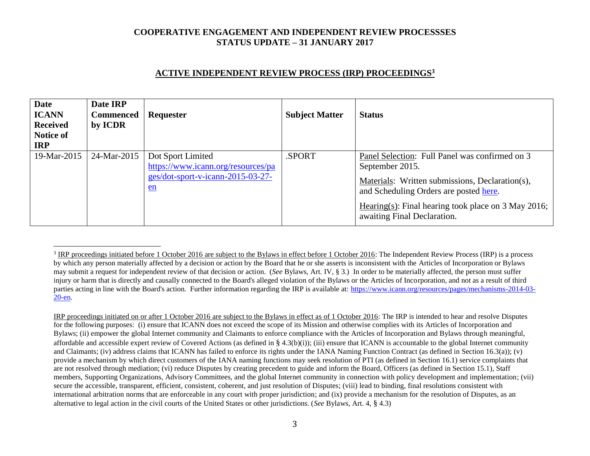# **ACTIVE INDEPENDENT REVIEW PROCESS (IRP) PROCEEDINGS<sup>3</sup>**

| <b>Date</b><br><b>ICANN</b><br><b>Received</b><br>Notice of<br><b>IRP</b> | Date IRP<br><b>Commenced</b><br>by ICDR | Requester                                                                                            | <b>Subject Matter</b> | <b>Status</b>                                                                                                                                                                                                                                        |
|---------------------------------------------------------------------------|-----------------------------------------|------------------------------------------------------------------------------------------------------|-----------------------|------------------------------------------------------------------------------------------------------------------------------------------------------------------------------------------------------------------------------------------------------|
| 19-Mar-2015                                                               | 24-Mar-2015                             | Dot Sport Limited<br>https://www.icann.org/resources/pa<br>ges/dot-sport-v-icann-2015-03-27-<br>$en$ | .SPORT                | Panel Selection: Full Panel was confirmed on 3<br>September 2015.<br>Materials: Written submissions, Declaration(s),<br>and Scheduling Orders are posted here.<br>Hearing(s): Final hearing took place on 3 May 2016;<br>awaiting Final Declaration. |

 $\overline{a}$ 

IRP proceedings initiated on or after 1 October 2016 are subject to the Bylaws in effect as of 1 October 2016: The IRP is intended to hear and resolve Disputes for the following purposes: (i) ensure that ICANN does not exceed the scope of its Mission and otherwise complies with its Articles of Incorporation and Bylaws; (ii) empower the global Internet community and Claimants to enforce compliance with the Articles of Incorporation and Bylaws through meaningful, affordable and accessible expert review of Covered Actions (as defined in § 4.3(b)(i)); (iii) ensure that ICANN is accountable to the global Internet community and Claimants; (iv) address claims that ICANN has failed to enforce its rights under the IANA Naming Function Contract (as defined in Section 16.3(a)); (v) provide a mechanism by which direct customers of the IANA naming functions may seek resolution of PTI (as defined in Section 16.1) service complaints that are not resolved through mediation; (vi) reduce Disputes by creating precedent to guide and inform the Board, Officers (as defined in Section 15.1), Staff members, Supporting Organizations, Advisory Committees, and the global Internet community in connection with policy development and implementation; (vii) secure the accessible, transparent, efficient, consistent, coherent, and just resolution of Disputes; (viii) lead to binding, final resolutions consistent with international arbitration norms that are enforceable in any court with proper jurisdiction; and (ix) provide a mechanism for the resolution of Disputes, as an alternative to legal action in the civil courts of the United States or other jurisdictions. (*See* Bylaws, Art. 4, § 4.3)

 $3$  IRP proceedings initiated before 1 October 2016 are subject to the Bylaws in effect before 1 October 2016: The Independent Review Process (IRP) is a process by which any person materially affected by a decision or action by the Board that he or she asserts is inconsistent with the Articles of Incorporation or Bylaws may submit a request for independent review of that decision or action. (*See* Bylaws, Art. IV, § 3.) In order to be materially affected, the person must suffer injury or harm that is directly and causally connected to the Board's alleged violation of the Bylaws or the Articles of Incorporation, and not as a result of third parties acting in line with the Board's action. Further information regarding the IRP is available at: [https://www.icann.org/resources/pages/mechanisms-2014-03-](https://www.icann.org/resources/pages/mechanisms-2014-03-20-en) [20-en.](https://www.icann.org/resources/pages/mechanisms-2014-03-20-en)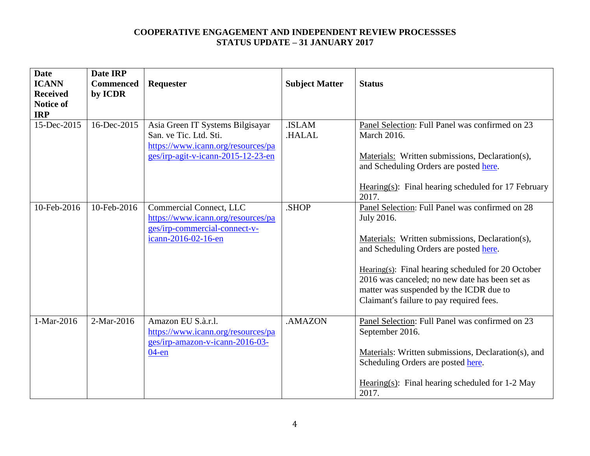| <b>Date</b><br><b>ICANN</b><br><b>Received</b><br><b>Notice of</b><br><b>IRP</b> | Date IRP<br><b>Commenced</b><br>by ICDR | Requester                                                                                                                              | <b>Subject Matter</b> | <b>Status</b>                                                                                                                                                                                                                                                                                                                                                 |
|----------------------------------------------------------------------------------|-----------------------------------------|----------------------------------------------------------------------------------------------------------------------------------------|-----------------------|---------------------------------------------------------------------------------------------------------------------------------------------------------------------------------------------------------------------------------------------------------------------------------------------------------------------------------------------------------------|
| 15-Dec-2015                                                                      | 16-Dec-2015                             | Asia Green IT Systems Bilgisayar<br>San. ve Tic. Ltd. Sti.<br>https://www.icann.org/resources/pa<br>ges/irp-agit-v-icann-2015-12-23-en | .ISLAM<br>.HALAL      | Panel Selection: Full Panel was confirmed on 23<br><b>March 2016.</b><br>Materials: Written submissions, Declaration(s),<br>and Scheduling Orders are posted here.<br>Hearing $(s)$ : Final hearing scheduled for 17 February<br>2017.                                                                                                                        |
| 10-Feb-2016                                                                      | 10-Feb-2016                             | Commercial Connect, LLC<br>https://www.icann.org/resources/pa<br>ges/irp-commercial-connect-v-<br>icann-2016-02-16-en                  | .SHOP                 | Panel Selection: Full Panel was confirmed on 28<br>July 2016.<br>Materials: Written submissions, Declaration(s),<br>and Scheduling Orders are posted here.<br>Hearing $(s)$ : Final hearing scheduled for 20 October<br>2016 was canceled; no new date has been set as<br>matter was suspended by the ICDR due to<br>Claimant's failure to pay required fees. |
| 1-Mar-2016                                                                       | 2-Mar-2016                              | Amazon EU S.à.r.l.<br>https://www.icann.org/resources/pa<br>ges/irp-amazon-v-icann-2016-03-<br>$04$ -en                                | .AMAZON               | Panel Selection: Full Panel was confirmed on 23<br>September 2016.<br>Materials: Written submissions, Declaration(s), and<br>Scheduling Orders are posted here.<br>Hearing(s): Final hearing scheduled for $1-2$ May<br>2017.                                                                                                                                 |